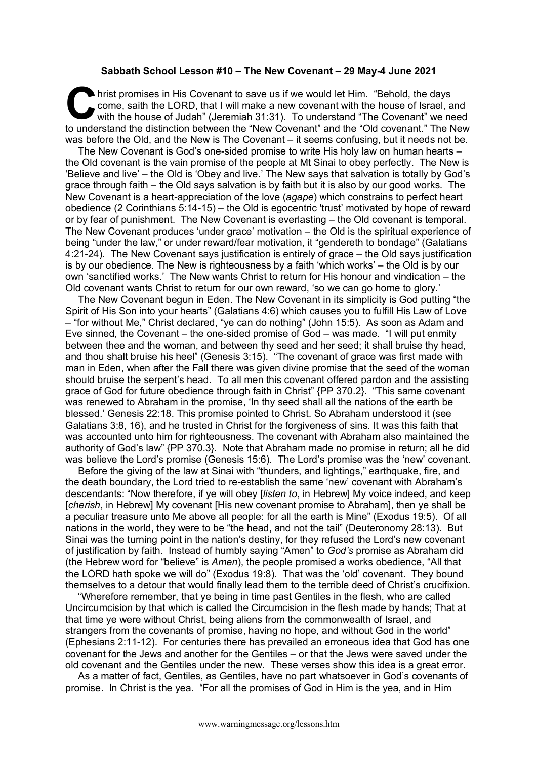## **Sabbath School Lesson #10 – The New Covenant – 29 May-4 June 2021**

hrist promises in His Covenant to save us if we would let Him. "Behold, the days come, saith the LORD, that I will make a new covenant with the house of Israel, and with the house of Judah" (Jeremiah 31:31). To understand "The Covenant" we need to understand the distinction between the "New Covenant" and the "Old covenant." The New was before the Old, and the New is The Covenant – it seems confusing, but it needs not be. C hri

The New Covenant is God's one-sided promise to write His holy law on human hearts – the Old covenant is the vain promise of the people at Mt Sinai to obey perfectly. The New is 'Believe and live' – the Old is 'Obey and live.' The New says that salvation is totally by God's grace through faith – the Old says salvation is by faith but it is also by our good works. The New Covenant is a heart-appreciation of the love (*agape*) which constrains to perfect heart obedience (2 Corinthians 5:14-15) – the Old is egocentric 'trust' motivated by hope of reward or by fear of punishment. The New Covenant is everlasting – the Old covenant is temporal. The New Covenant produces 'under grace' motivation – the Old is the spiritual experience of being "under the law," or under reward/fear motivation, it "gendereth to bondage" (Galatians 4:21-24). The New Covenant says justification is entirely of grace – the Old says justification is by our obedience. The New is righteousness by a faith 'which works' – the Old is by our own 'sanctified works.' The New wants Christ to return for His honour and vindication – the Old covenant wants Christ to return for our own reward, 'so we can go home to glory.'

The New Covenant begun in Eden. The New Covenant in its simplicity is God putting "the Spirit of His Son into your hearts" (Galatians 4:6) which causes you to fulfill His Law of Love – "for without Me," Christ declared, "ye can do nothing" (John 15:5). As soon as Adam and Eve sinned, the Covenant – the one-sided promise of God – was made. "I will put enmity between thee and the woman, and between thy seed and her seed; it shall bruise thy head, and thou shalt bruise his heel" (Genesis 3:15). "The covenant of grace was first made with man in Eden, when after the Fall there was given divine promise that the seed of the woman should bruise the serpent's head. To all men this covenant offered pardon and the assisting grace of God for future obedience through faith in Christ" {PP 370.2}. "This same covenant was renewed to Abraham in the promise, 'In thy seed shall all the nations of the earth be blessed.' Genesis 22:18. This promise pointed to Christ. So Abraham understood it (see Galatians 3:8, 16), and he trusted in Christ for the forgiveness of sins. It was this faith that was accounted unto him for righteousness. The covenant with Abraham also maintained the authority of God's law" {PP 370.3}. Note that Abraham made no promise in return; all he did was believe the Lord's promise (Genesis 15:6). The Lord's promise was the 'new' covenant.

Before the giving of the law at Sinai with "thunders, and lightings," earthquake, fire, and the death boundary, the Lord tried to re-establish the same 'new' covenant with Abraham's descendants: "Now therefore, if ye will obey [*listen to*, in Hebrew] My voice indeed, and keep [*cherish*, in Hebrew] My covenant [His new covenant promise to Abraham], then ye shall be a peculiar treasure unto Me above all people: for all the earth is Mine" (Exodus 19:5). Of all nations in the world, they were to be "the head, and not the tail" (Deuteronomy 28:13). But Sinai was the turning point in the nation's destiny, for they refused the Lord's new covenant of justification by faith. Instead of humbly saying "Amen" to *God's* promise as Abraham did (the Hebrew word for "believe" is *Amen*), the people promised a works obedience, "All that the LORD hath spoke we will do" (Exodus 19:8). That was the 'old' covenant. They bound themselves to a detour that would finally lead them to the terrible deed of Christ's crucifixion.

"Wherefore remember, that ye being in time past Gentiles in the flesh, who are called Uncircumcision by that which is called the Circumcision in the flesh made by hands; That at that time ye were without Christ, being aliens from the commonwealth of Israel, and strangers from the covenants of promise, having no hope, and without God in the world" (Ephesians 2:11-12). For centuries there has prevailed an erroneous idea that God has one covenant for the Jews and another for the Gentiles – or that the Jews were saved under the old covenant and the Gentiles under the new. These verses show this idea is a great error.

As a matter of fact, Gentiles, as Gentiles, have no part whatsoever in God's covenants of promise. In Christ is the yea. "For all the promises of God in Him is the yea, and in Him